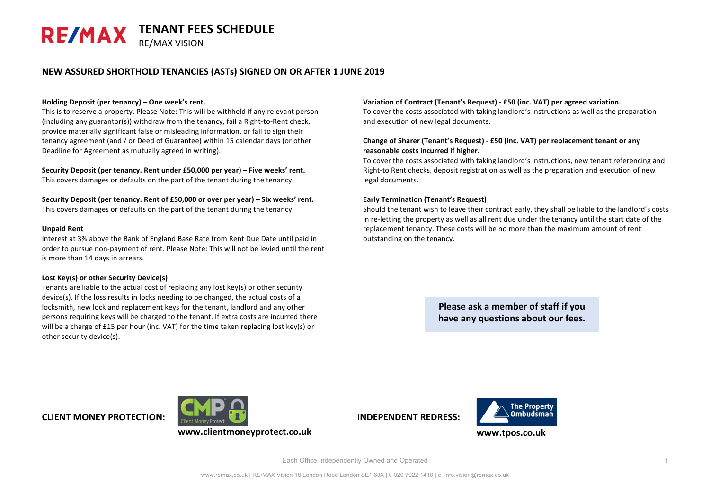### **NEW ASSURED SHORTHOLD TENANCIES (ASTs) SIGNED ON OR AFTER 1 JUNE 2019**

### Holding Deposit (per tenancy) – One week's rent.

This is to reserve a property. Please Note: This will be withheld if any relevant person  $(including$  any guarantor(s)) withdraw from the tenancy, fail a Right-to-Rent check, provide materially significant false or misleading information, or fail to sign their tenancy agreement (and / or Deed of Guarantee) within 15 calendar days (or other Deadline for Agreement as mutually agreed in writing).

Security Deposit (per tenancy. Rent under £50,000 per year) – Five weeks' rent. This covers damages or defaults on the part of the tenant during the tenancy.

### Security Deposit (per tenancy. Rent of £50,000 or over per year) – Six weeks' rent.

This covers damages or defaults on the part of the tenant during the tenancy.

#### **Unpaid Rent**

Interest at 3% above the Bank of England Base Rate from Rent Due Date until paid in order to pursue non-payment of rent. Please Note: This will not be levied until the rent is more than 14 days in arrears.

### Lost Key(s) or other Security Device(s)

Tenants are liable to the actual cost of replacing any lost  $key(s)$  or other security device(s). If the loss results in locks needing to be changed, the actual costs of a locksmith, new lock and replacement keys for the tenant, landlord and any other persons requiring keys will be charged to the tenant. If extra costs are incurred there will be a charge of £15 per hour (inc. VAT) for the time taken replacing lost  $key(s)$  or other security device(s).

#### **Variation of Contract (Tenant's Request) - £50 (inc. VAT) per agreed variation.**

To cover the costs associated with taking landlord's instructions as well as the preparation and execution of new legal documents.

### Change of Sharer (Tenant's Request) - £50 (inc. VAT) per replacement tenant or any reasonable costs incurred if higher.

To cover the costs associated with taking landlord's instructions, new tenant referencing and Right-to Rent checks, deposit registration as well as the preparation and execution of new legal documents.

### **Early Termination (Tenant's Request)**

Should the tenant wish to leave their contract early, they shall be liable to the landlord's costs in re-letting the property as well as all rent due under the tenancy until the start date of the replacement tenancy. These costs will be no more than the maximum amount of rent outstanding on the tenancy.

> **Please ask a member of staff if you** have any questions about our fees.

## **CLIENT MONEY PROTECTION:**



**INDEPENDENT REDRESS:**



**www.tpos.co.uk**

Each Office Independently Owned and Operated